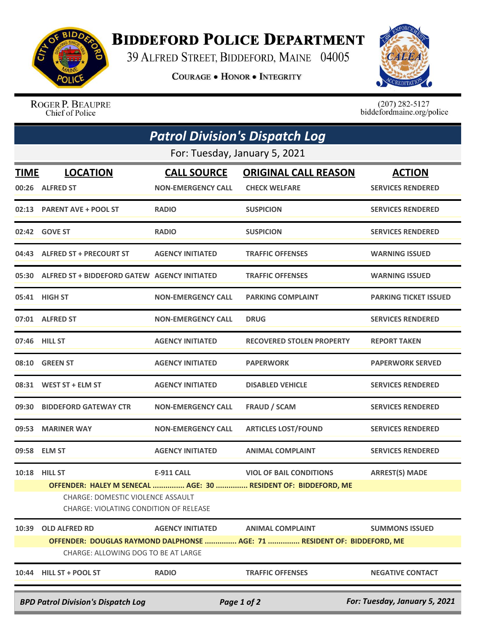

## **BIDDEFORD POLICE DEPARTMENT**

39 ALFRED STREET, BIDDEFORD, MAINE 04005

**COURAGE . HONOR . INTEGRITY** 



ROGER P. BEAUPRE<br>Chief of Police

 $(207)$  282-5127<br>biddefordmaine.org/police

| <b>Patrol Division's Dispatch Log</b>                                                     |                                                                                           |                                                 |                                                                          |                                           |  |  |  |
|-------------------------------------------------------------------------------------------|-------------------------------------------------------------------------------------------|-------------------------------------------------|--------------------------------------------------------------------------|-------------------------------------------|--|--|--|
| For: Tuesday, January 5, 2021                                                             |                                                                                           |                                                 |                                                                          |                                           |  |  |  |
| <b>TIME</b>                                                                               | <b>LOCATION</b><br>00:26 ALFRED ST                                                        | <b>CALL SOURCE</b><br><b>NON-EMERGENCY CALL</b> | <b>ORIGINAL CALL REASON</b><br><b>CHECK WELFARE</b>                      | <b>ACTION</b><br><b>SERVICES RENDERED</b> |  |  |  |
|                                                                                           | 02:13 PARENT AVE + POOL ST                                                                | <b>RADIO</b>                                    | <b>SUSPICION</b>                                                         | <b>SERVICES RENDERED</b>                  |  |  |  |
|                                                                                           | 02:42 GOVE ST                                                                             | <b>RADIO</b>                                    | <b>SUSPICION</b>                                                         | <b>SERVICES RENDERED</b>                  |  |  |  |
|                                                                                           | 04:43 ALFRED ST + PRECOURT ST                                                             | <b>AGENCY INITIATED</b>                         | <b>TRAFFIC OFFENSES</b>                                                  | <b>WARNING ISSUED</b>                     |  |  |  |
|                                                                                           | 05:30 ALFRED ST + BIDDEFORD GATEW AGENCY INITIATED                                        |                                                 | <b>TRAFFIC OFFENSES</b>                                                  | <b>WARNING ISSUED</b>                     |  |  |  |
|                                                                                           | 05:41 HIGH ST                                                                             | <b>NON-EMERGENCY CALL</b>                       | <b>PARKING COMPLAINT</b>                                                 | <b>PARKING TICKET ISSUED</b>              |  |  |  |
|                                                                                           | 07:01 ALFRED ST                                                                           | <b>NON-EMERGENCY CALL</b>                       | <b>DRUG</b>                                                              | <b>SERVICES RENDERED</b>                  |  |  |  |
|                                                                                           | 07:46 HILL ST                                                                             | <b>AGENCY INITIATED</b>                         | <b>RECOVERED STOLEN PROPERTY</b>                                         | <b>REPORT TAKEN</b>                       |  |  |  |
|                                                                                           | 08:10 GREEN ST                                                                            | <b>AGENCY INITIATED</b>                         | <b>PAPERWORK</b>                                                         | <b>PAPERWORK SERVED</b>                   |  |  |  |
|                                                                                           | 08:31 WEST ST + ELM ST                                                                    | <b>AGENCY INITIATED</b>                         | <b>DISABLED VEHICLE</b>                                                  | <b>SERVICES RENDERED</b>                  |  |  |  |
| 09:30                                                                                     | <b>BIDDEFORD GATEWAY CTR</b>                                                              | <b>NON-EMERGENCY CALL</b>                       | <b>FRAUD / SCAM</b>                                                      | <b>SERVICES RENDERED</b>                  |  |  |  |
| 09:53                                                                                     | <b>MARINER WAY</b>                                                                        | <b>NON-EMERGENCY CALL</b>                       | <b>ARTICLES LOST/FOUND</b>                                               | <b>SERVICES RENDERED</b>                  |  |  |  |
|                                                                                           | 09:58 ELM ST                                                                              | <b>AGENCY INITIATED</b>                         | <b>ANIMAL COMPLAINT</b>                                                  | <b>SERVICES RENDERED</b>                  |  |  |  |
|                                                                                           | 10:18 HILL ST                                                                             | <b>E-911 CALL</b>                               | <b>VIOL OF BAIL CONDITIONS</b>                                           | <b>ARREST(S) MADE</b>                     |  |  |  |
|                                                                                           |                                                                                           |                                                 | OFFENDER: HALEY M SENECAL  AGE: 30  RESIDENT OF: BIDDEFORD, ME           |                                           |  |  |  |
|                                                                                           | <b>CHARGE: DOMESTIC VIOLENCE ASSAULT</b><br><b>CHARGE: VIOLATING CONDITION OF RELEASE</b> |                                                 |                                                                          |                                           |  |  |  |
| 10:39                                                                                     | <b>OLD ALFRED RD</b>                                                                      | <b>AGENCY INITIATED</b>                         | <b>ANIMAL COMPLAINT</b>                                                  | <b>SUMMONS ISSUED</b>                     |  |  |  |
|                                                                                           |                                                                                           |                                                 | OFFENDER: DOUGLAS RAYMOND DALPHONSE  AGE: 71  RESIDENT OF: BIDDEFORD. ME |                                           |  |  |  |
|                                                                                           | CHARGE: ALLOWING DOG TO BE AT LARGE                                                       |                                                 |                                                                          |                                           |  |  |  |
|                                                                                           | 10:44 HILL ST + POOL ST                                                                   | <b>RADIO</b>                                    | <b>TRAFFIC OFFENSES</b>                                                  | <b>NEGATIVE CONTACT</b>                   |  |  |  |
| For: Tuesday, January 5, 2021<br><b>BPD Patrol Division's Dispatch Log</b><br>Page 1 of 2 |                                                                                           |                                                 |                                                                          |                                           |  |  |  |